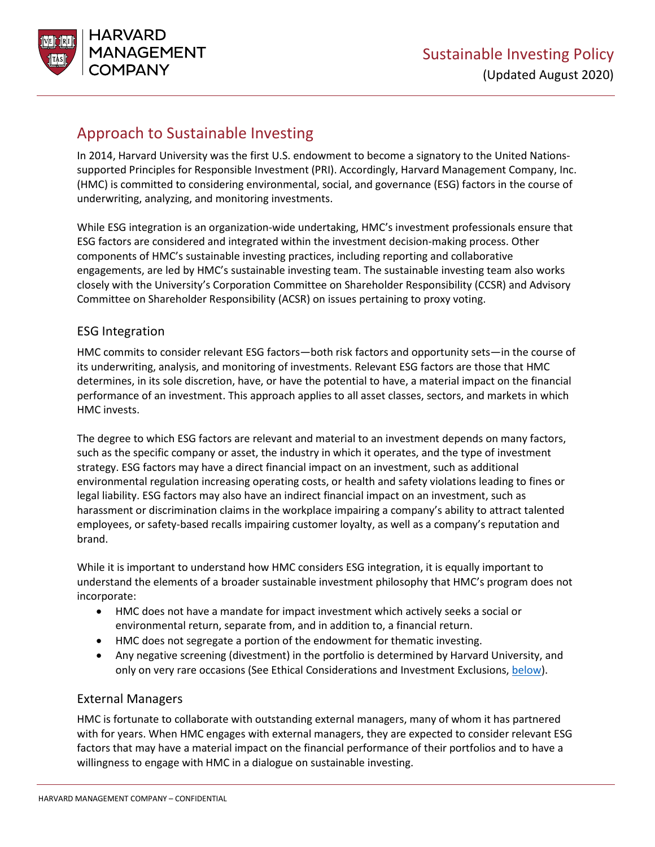

# Approach to Sustainable Investing

In 2014, Harvard University was the first U.S. endowment to become a signatory to the United Nationssupported Principles for Responsible Investment (PRI). Accordingly, Harvard Management Company, Inc. (HMC) is committed to considering environmental, social, and governance (ESG) factors in the course of underwriting, analyzing, and monitoring investments.

While ESG integration is an organization-wide undertaking, HMC's investment professionals ensure that ESG factors are considered and integrated within the investment decision-making process. Other components of HMC's sustainable investing practices, including reporting and collaborative engagements, are led by HMC's sustainable investing team. The sustainable investing team also works closely with the University's Corporation Committee on Shareholder Responsibility (CCSR) and Advisory Committee on Shareholder Responsibility (ACSR) on issues pertaining to proxy voting.

### ESG Integration

HMC commits to consider relevant ESG factors—both risk factors and opportunity sets—in the course of its underwriting, analysis, and monitoring of investments. Relevant ESG factors are those that HMC determines, in its sole discretion, have, or have the potential to have, a material impact on the financial performance of an investment. This approach applies to all asset classes, sectors, and markets in which HMC invests.

The degree to which ESG factors are relevant and material to an investment depends on many factors, such as the specific company or asset, the industry in which it operates, and the type of investment strategy. ESG factors may have a direct financial impact on an investment, such as additional environmental regulation increasing operating costs, or health and safety violations leading to fines or legal liability. ESG factors may also have an indirect financial impact on an investment, such as harassment or discrimination claims in the workplace impairing a company's ability to attract talented employees, or safety-based recalls impairing customer loyalty, as well as a company's reputation and brand.

While it is important to understand how HMC considers ESG integration, it is equally important to understand the elements of a broader sustainable investment philosophy that HMC's program does not incorporate:

- HMC does not have a mandate for impact investment which actively seeks a social or environmental return, separate from, and in addition to, a financial return.
- HMC does not segregate a portion of the endowment for thematic investing.
- Any negative screening (divestment) in the portfolio is determined by Harvard University, and only on very rare occasions (See Ethical Considerations and Investment Exclusions[, below\)](#page-3-0).

### External Managers

HMC is fortunate to collaborate with outstanding external managers, many of whom it has partnered with for years. When HMC engages with external managers, they are expected to consider relevant ESG factors that may have a material impact on the financial performance of their portfolios and to have a willingness to engage with HMC in a dialogue on sustainable investing.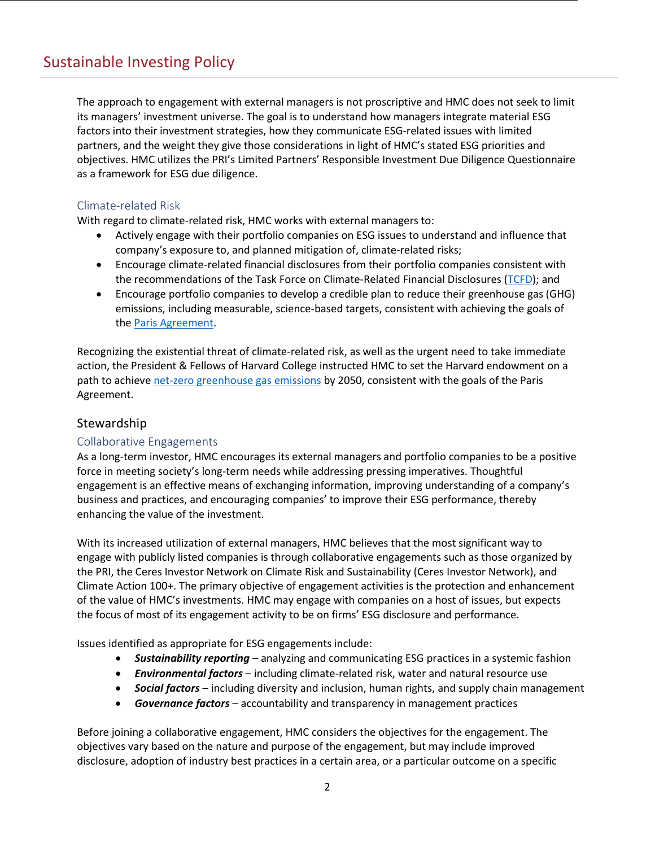The approach to engagement with external managers is not proscriptive and HMC does not seek to limit its managers' investment universe. The goal is to understand how managers integrate material ESG factors into their investment strategies, how they communicate ESG-related issues with limited partners, and the weight they give those considerations in light of HMC's stated ESG priorities and objectives. HMC utilizes the PRI's Limited Partners' Responsible Investment Due Diligence Questionnaire as a framework for ESG due diligence.

### Climate-related Risk

With regard to climate-related risk, HMC works with external managers to:

- Actively engage with their portfolio companies on ESG issues to understand and influence that company's exposure to, and planned mitigation of, climate-related risks;
- Encourage climate-related financial disclosures from their portfolio companies consistent with the recommendations of the Task Force on Climate-Related Financial Disclosures [\(TCFD\)](https://www.fsb-tcfd.org/); and
- Encourage portfolio companies to develop a credible plan to reduce their greenhouse gas (GHG) emissions, including measurable, science-based targets, consistent with achieving the goals of the [Paris Agreement.](https://unfccc.int/process-and-meetings/the-paris-agreement/the-paris-agreement)

Recognizing the existential threat of climate-related risk, as well as the urgent need to take immediate action, the President & Fellows of Harvard College instructed HMC to set the Harvard endowment on a path to achieve [net-zero greenhouse](https://news.harvard.edu/gazette/story/2020/04/harvard-endowment-to-go-greenhouse-gas-neutral-by-2050/) gas emissions by 2050, consistent with the goals of the Paris Agreement.

### **Stewardship**

#### Collaborative Engagements

As a long-term investor, HMC encourages its external managers and portfolio companies to be a positive force in meeting society's long-term needs while addressing pressing imperatives. Thoughtful engagement is an effective means of exchanging information, improving understanding of a company's business and practices, and encouraging companies' to improve their ESG performance, thereby enhancing the value of the investment.

With its increased utilization of external managers, HMC believes that the most significant way to engage with publicly listed companies is through collaborative engagements such as those organized by the PRI, the Ceres Investor Network on Climate Risk and Sustainability (Ceres Investor Network), and Climate Action 100+. The primary objective of engagement activities is the protection and enhancement of the value of HMC's investments. HMC may engage with companies on a host of issues, but expects the focus of most of its engagement activity to be on firms' ESG disclosure and performance.

Issues identified as appropriate for ESG engagements include:

- *Sustainability reporting* analyzing and communicating ESG practices in a systemic fashion
- *Environmental factors* including climate-related risk, water and natural resource use
- *Social factors* including diversity and inclusion, human rights, and supply chain management
- *Governance factors* accountability and transparency in management practices

Before joining a collaborative engagement, HMC considers the objectives for the engagement. The objectives vary based on the nature and purpose of the engagement, but may include improved disclosure, adoption of industry best practices in a certain area, or a particular outcome on a specific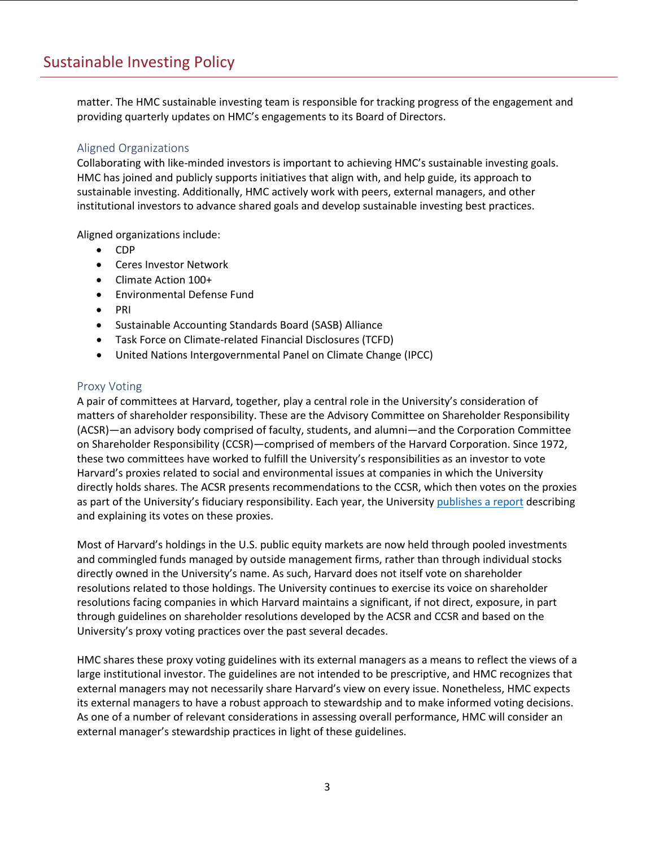matter. The HMC sustainable investing team is responsible for tracking progress of the engagement and providing quarterly updates on HMC's engagements to its Board of Directors.

#### Aligned Organizations

Collaborating with like-minded investors is important to achieving HMC's sustainable investing goals. HMC has joined and publicly supports initiatives that align with, and help guide, its approach to sustainable investing. Additionally, HMC actively work with peers, external managers, and other institutional investors to advance shared goals and develop sustainable investing best practices.

Aligned organizations include:

- CDP
- Ceres Investor Network
- Climate Action 100+
- Environmental Defense Fund
- PRI
- Sustainable Accounting Standards Board (SASB) Alliance
- Task Force on Climate-related Financial Disclosures (TCFD)
- United Nations Intergovernmental Panel on Climate Change (IPCC)

#### Proxy Voting

A pair of committees at Harvard, together, play a central role in the University's consideration of matters of shareholder responsibility. These are the Advisory Committee on Shareholder Responsibility (ACSR)—an advisory body comprised of faculty, students, and alumni—and the Corporation Committee on Shareholder Responsibility (CCSR)—comprised of members of the Harvard Corporation. Since 1972, these two committees have worked to fulfill the University's responsibilities as an investor to vote Harvard's proxies related to social and environmental issues at companies in which the University directly holds shares. The ACSR presents recommendations to the CCSR, which then votes on the proxies as part of the University's fiduciary responsibility. Each year, the Universit[y publishes](https://www.harvard.edu/shareholder-responsibility-committees) a report describing and explaining its votes on these proxies.

Most of Harvard's holdings in the U.S. public equity markets are now held through pooled investments and commingled funds managed by outside management firms, rather than through individual stocks directly owned in the University's name. As such, Harvard does not itself vote on shareholder resolutions related to those holdings. The University continues to exercise its voice on shareholder resolutions facing companies in which Harvard maintains a significant, if not direct, exposure, in part through guidelines on shareholder resolutions developed by the ACSR and CCSR and based on the University's proxy voting practices over the past several decades.

HMC shares these proxy voting guidelines with its external managers as a means to reflect the views of a large institutional investor. The guidelines are not intended to be prescriptive, and HMC recognizes that external managers may not necessarily share Harvard's view on every issue. Nonetheless, HMC expects its external managers to have a robust approach to stewardship and to make informed voting decisions. As one of a number of relevant considerations in assessing overall performance, HMC will consider an external manager's stewardship practices in light of these guidelines.